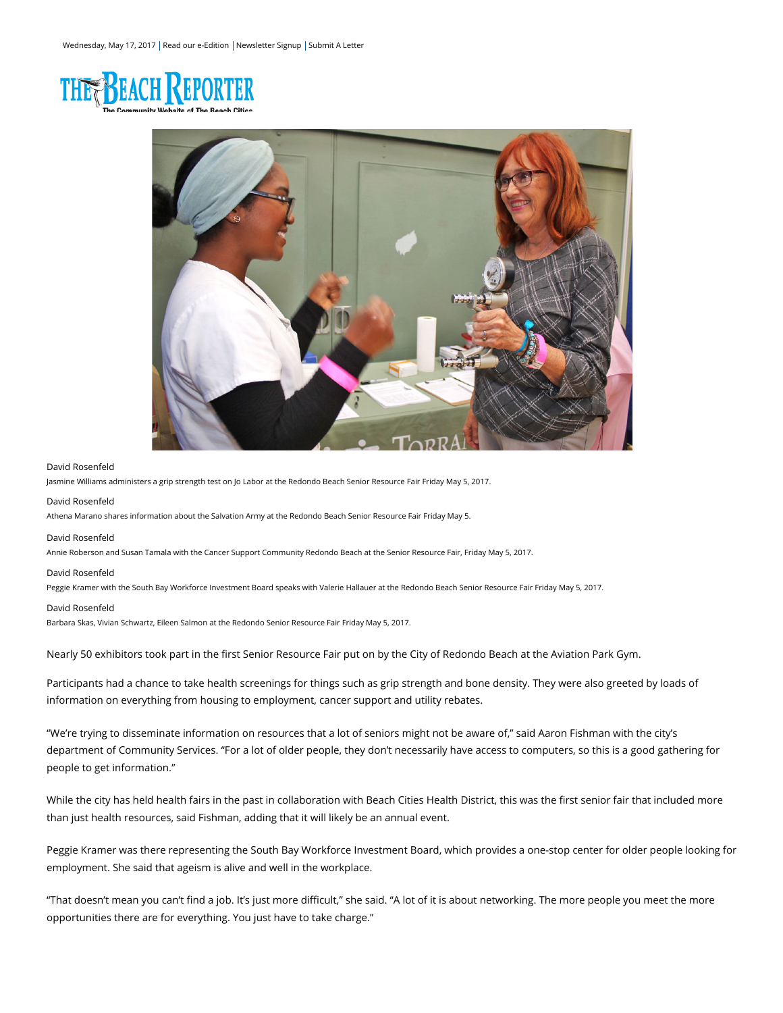



# David Rosenfeld

Jasmine Williams administers a grip strength test on Jo Labor at the Redondo Beach Senior Resource Fair Friday May 5, 2017.

# David Rosenfeld

Athena Marano shares information about the Salvation Army at the Redondo Beach Senior Resource Fair Friday May 5.

## David Rosenfeld

Annie Roberson and Susan Tamala with the Cancer Support Community Redondo Beach at the Senior Resource Fair, Friday May 5, 2017.

#### David Rosenfeld

Peggie Kramer with the South Bay Workforce Investment Board speaks with Valerie Hallauer at the Redondo Beach Senior Resource Fair Friday May 5, 2017.

### David Rosenfeld

Barbara Skas, Vivian Schwartz, Eileen Salmon at the Redondo Senior Resource Fair Friday May 5, 2017.

Nearly 50 exhibitors took part in the first Senior Resource Fair put on by the City of Redondo Beach at the Aviation Park Gym.

Participants had a chance to take health screenings for things such as grip strength and bone density. They were also greeted by loads of information on everything from housing to employment, cancer support and utility rebates.

"We're trying to disseminate information on resources that a lot of seniors might not be aware of," said Aaron Fishman with the city's department of Community Services. "For a lot of older people, they don't necessarily have access to computers, so this is a good gathering for people to get information."

While the city has held health fairs in the past in collaboration with Beach Cities Health District, this was the first senior fair that included more than just health resources, said Fishman, adding that it will likely be an annual event.

Peggie Kramer was there representing the South Bay Workforce Investment Board, which provides a one-stop center for older people looking for employment. She said that ageism is alive and well in the workplace.

"That doesn't mean you can't find a job. It's just more difficult," she said. "A lot of it is about networking. The more people you meet the more opportunities there are for everything. You just have to take charge."